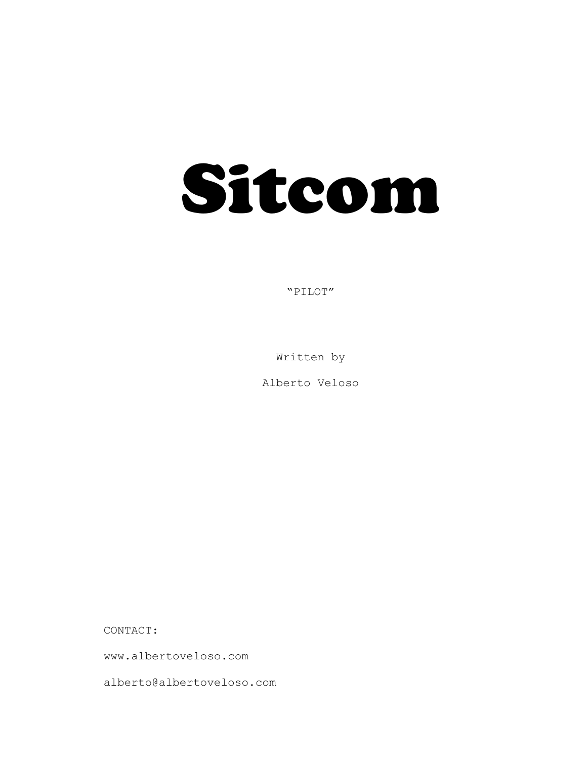# Sitcom

"PILOT"

Written by

Alberto Veloso

CONTACT:

www.albertoveloso.com

alberto@albertoveloso.com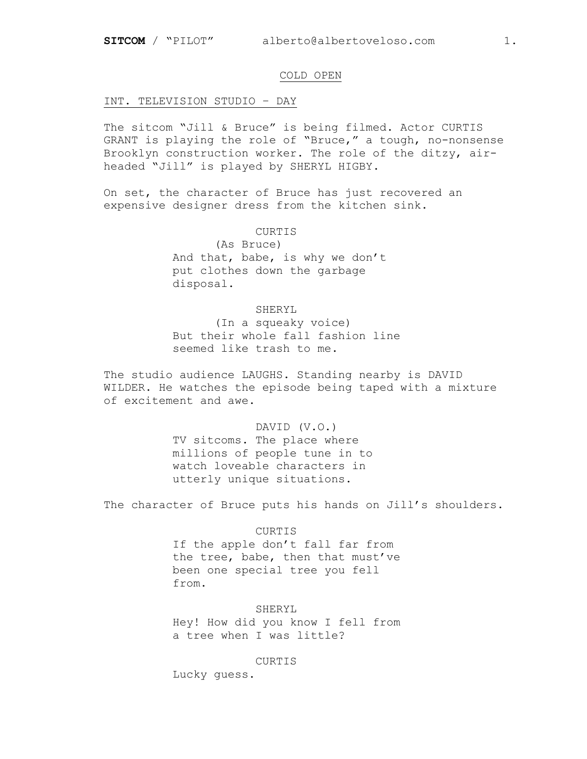## COLD OPEN

#### INT. TELEVISION STUDIO – DAY

The sitcom "Jill & Bruce" is being filmed. Actor CURTIS GRANT is playing the role of "Bruce," a tough, no-nonsense Brooklyn construction worker. The role of the ditzy, airheaded "Jill" is played by SHERYL HIGBY.

On set, the character of Bruce has just recovered an expensive designer dress from the kitchen sink.

## CURTIS

 (As Bruce) And that, babe, is why we don't put clothes down the garbage disposal.

#### SHERYL

 (In a squeaky voice) But their whole fall fashion line seemed like trash to me.

The studio audience LAUGHS. Standing nearby is DAVID WILDER. He watches the episode being taped with a mixture of excitement and awe.

### DAVID (V.O.)

TV sitcoms. The place where millions of people tune in to watch loveable characters in utterly unique situations.

The character of Bruce puts his hands on Jill's shoulders.

#### CURTIS

If the apple don't fall far from the tree, babe, then that must've been one special tree you fell from.

 SHERYL Hey! How did you know I fell from a tree when I was little?

CURTIS

Lucky guess.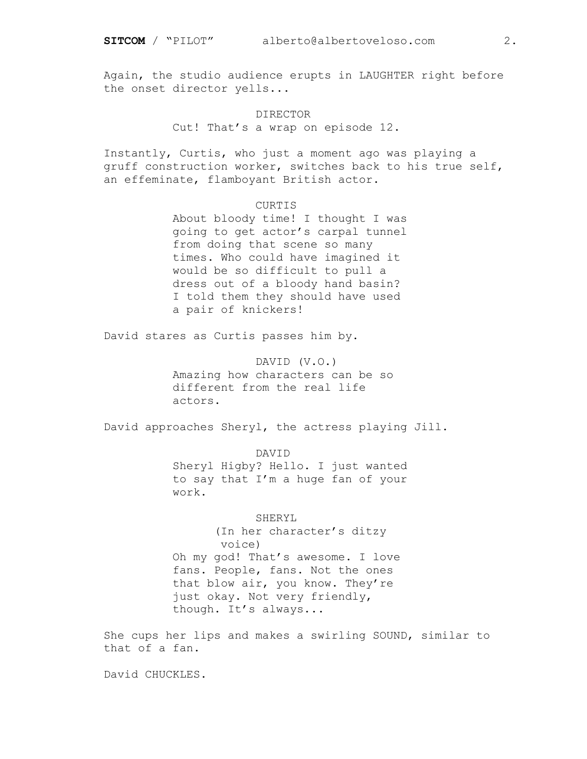Again, the studio audience erupts in LAUGHTER right before the onset director yells...

#### DIRECTOR

Cut! That's a wrap on episode 12.

Instantly, Curtis, who just a moment ago was playing a gruff construction worker, switches back to his true self, an effeminate, flamboyant British actor.

#### CURTIS

About bloody time! I thought I was going to get actor's carpal tunnel from doing that scene so many times. Who could have imagined it would be so difficult to pull a dress out of a bloody hand basin? I told them they should have used a pair of knickers!

David stares as Curtis passes him by.

DAVID (V.O.) Amazing how characters can be so different from the real life actors.

David approaches Sheryl, the actress playing Jill.

 DAVID Sheryl Higby? Hello. I just wanted to say that I'm a huge fan of your work.

 SHERYL (In her character's ditzy voice) Oh my god! That's awesome. I love fans. People, fans. Not the ones that blow air, you know. They're just okay. Not very friendly, though. It's always...

She cups her lips and makes a swirling SOUND, similar to that of a fan.

David CHUCKLES.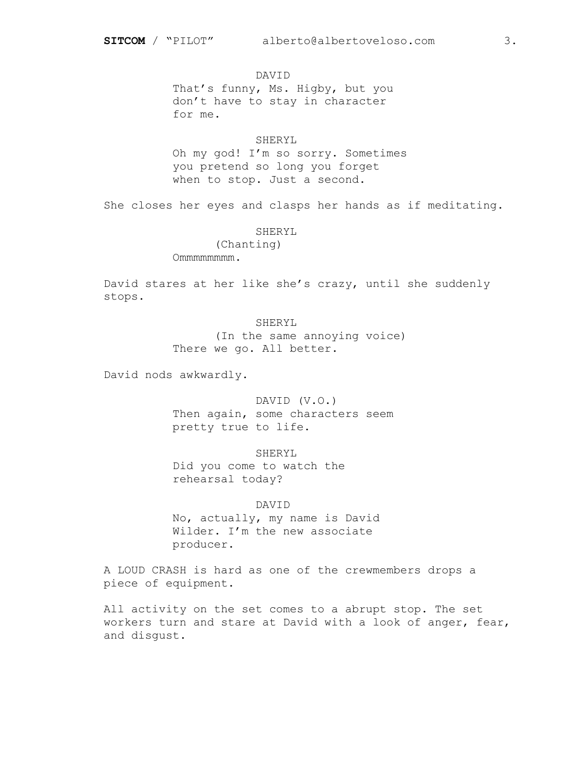DAVID That's funny, Ms. Higby, but you don't have to stay in character for me.

## SHERYL

Oh my god! I'm so sorry. Sometimes you pretend so long you forget when to stop. Just a second.

She closes her eyes and clasps her hands as if meditating.

## SHERYL

(Chanting)

Ommmmmmmmmmmm.

David stares at her like she's crazy, until she suddenly stops.

## SHERYL

 (In the same annoying voice) There we go. All better.

David nods awkwardly.

 DAVID (V.O.) Then again, some characters seem pretty true to life.

 SHERYL Did you come to watch the rehearsal today?

## DAVID

No, actually, my name is David Wilder. I'm the new associate producer.

A LOUD CRASH is hard as one of the crewmembers drops a piece of equipment.

All activity on the set comes to a abrupt stop. The set workers turn and stare at David with a look of anger, fear, and disgust.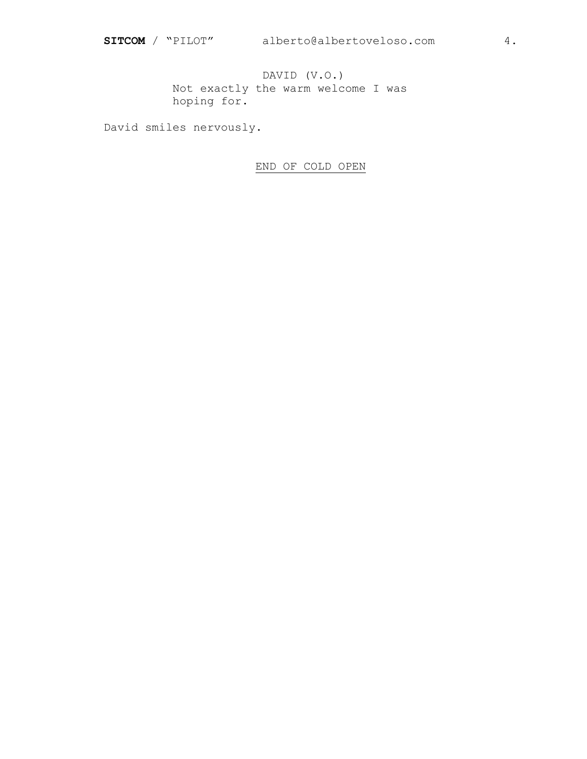DAVID (V.O.) Not exactly the warm welcome I was hoping for.

David smiles nervously.

## END OF COLD OPEN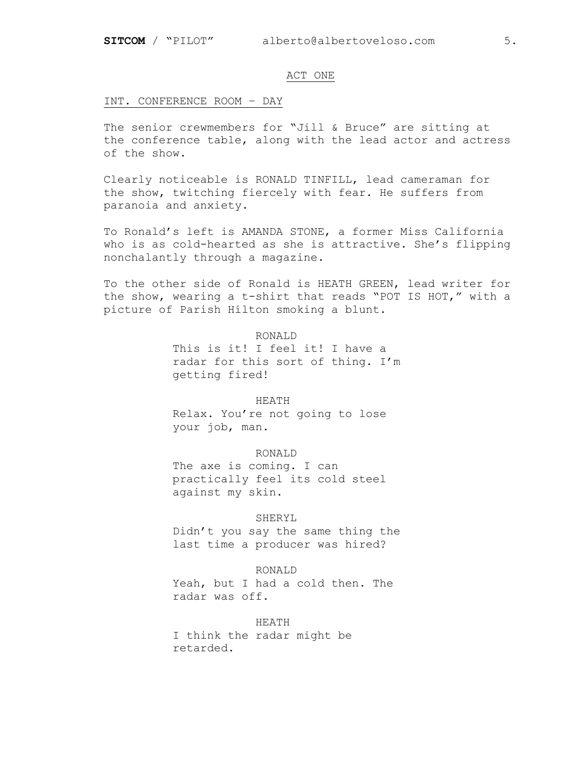## ACT ONE

#### INT. CONFERENCE ROOM – DAY

The senior crewmembers for "Jill & Bruce" are sitting at the conference table, along with the lead actor and actress of the show.

Clearly noticeable is RONALD TINFILL, lead cameraman for the show, twitching fiercely with fear. He suffers from paranoia and anxiety.

To Ronald's left is AMANDA STONE, a former Miss California who is as cold-hearted as she is attractive. She's flipping nonchalantly through a magazine.

To the other side of Ronald is HEATH GREEN, lead writer for the show, wearing a t-shirt that reads "POT IS HOT," with a picture of Parish Hilton smoking a blunt.

#### RONALD

This is it! I feel it! I have a radar for this sort of thing. I'm getting fired!

#### HEATH

Relax. You're not going to lose your job, man.

#### RONALD

The axe is coming. I can practically feel its cold steel against my skin.

#### SHERYL

Didn't you say the same thing the last time a producer was hired?

#### RONALD

Yeah, but I had a cold then. The radar was off.

 HEATH I think the radar might be retarded.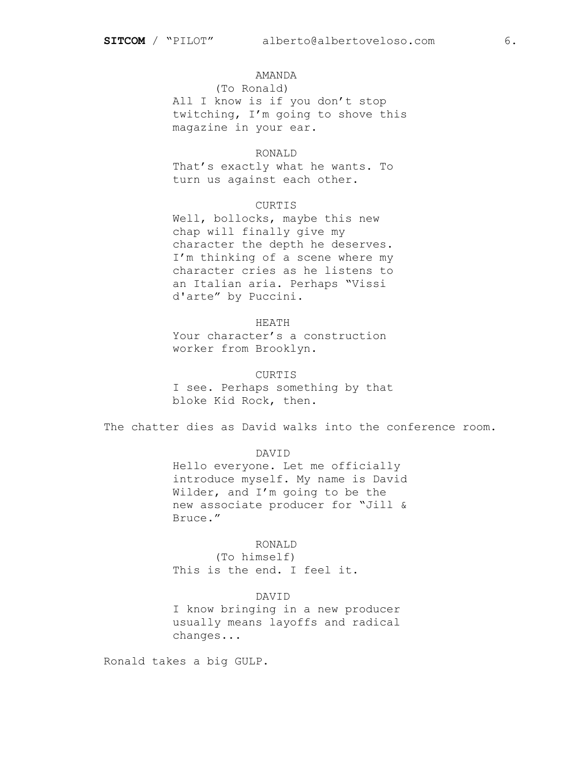## AMANDA

 (To Ronald) All I know is if you don't stop twitching, I'm going to shove this magazine in your ear.

#### RONALD

That's exactly what he wants. To turn us against each other.

## CURTIS

Well, bollocks, maybe this new chap will finally give my character the depth he deserves. I'm thinking of a scene where my character cries as he listens to an Italian aria. Perhaps "Vissi d'arte" by Puccini.

#### HEATH

Your character's a construction worker from Brooklyn.

#### CURTIS

I see. Perhaps something by that bloke Kid Rock, then**.**

The chatter dies as David walks into the conference room.

#### DAVID

Hello everyone. Let me officially introduce myself. My name is David Wilder, and I'm going to be the new associate producer for "Jill & Bruce."

# RONALD

 (To himself) This is the end. I feel it.

## DAVID

I know bringing in a new producer usually means layoffs and radical changes...

Ronald takes a big GULP.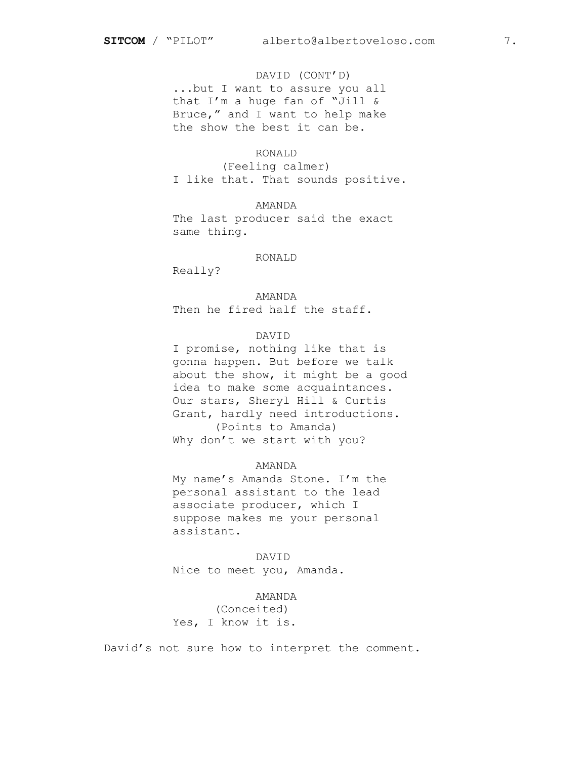## DAVID (CONT'D)

...but I want to assure you all that I'm a huge fan of "Jill & Bruce," and I want to help make the show the best it can be.

## RONALD

 (Feeling calmer) I like that. That sounds positive.

## AMANDA

The last producer said the exact same thing.

#### RONALD

Really?

 AMANDA Then he fired half the staff.

#### DAVID

I promise, nothing like that is gonna happen. But before we talk about the show, it might be a good idea to make some acquaintances. Our stars, Sheryl Hill & Curtis Grant, hardly need introductions. (Points to Amanda) Why don't we start with you?

## AMANDA

My name's Amanda Stone. I'm the personal assistant to the lead associate producer, which I suppose makes me your personal assistant.

 DAVID Nice to meet you, Amanda.

## AMANDA (Conceited) Yes, I know it is.

David's not sure how to interpret the comment.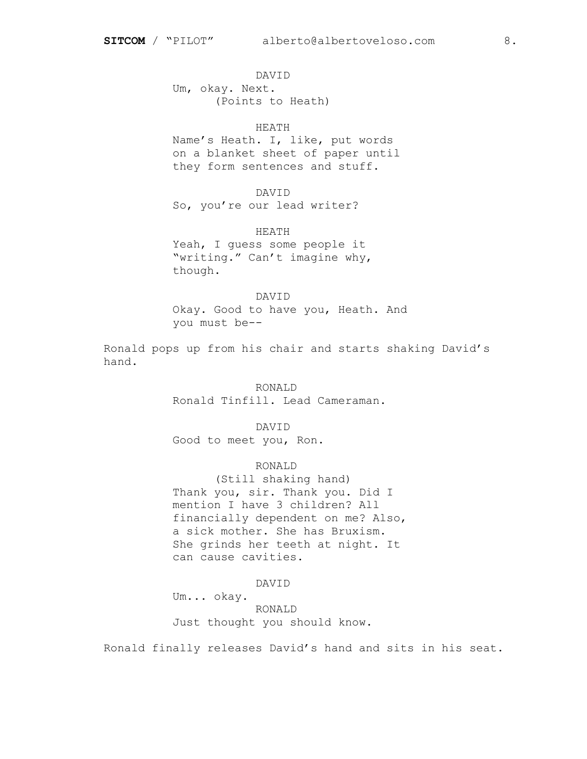DAVID Um, okay. Next. (Points to Heath)

#### HEATH

Name's Heath. I, like, put words on a blanket sheet of paper until they form sentences and stuff.

 DAVID So, you're our lead writer?

 HEATH Yeah, I guess some people it "writing." Can't imagine why, though.

 DAVID Okay. Good to have you, Heath. And you must be--

Ronald pops up from his chair and starts shaking David's hand.

> RONALD Ronald Tinfill. Lead Cameraman.

 DAVID Good to meet you, Ron.

 RONALD (Still shaking hand) Thank you, sir. Thank you. Did I mention I have 3 children? All financially dependent on me? Also, a sick mother. She has Bruxism. She grinds her teeth at night. It can cause cavities.

DAVID

Um... okay.

RONALD

Just thought you should know.

Ronald finally releases David's hand and sits in his seat.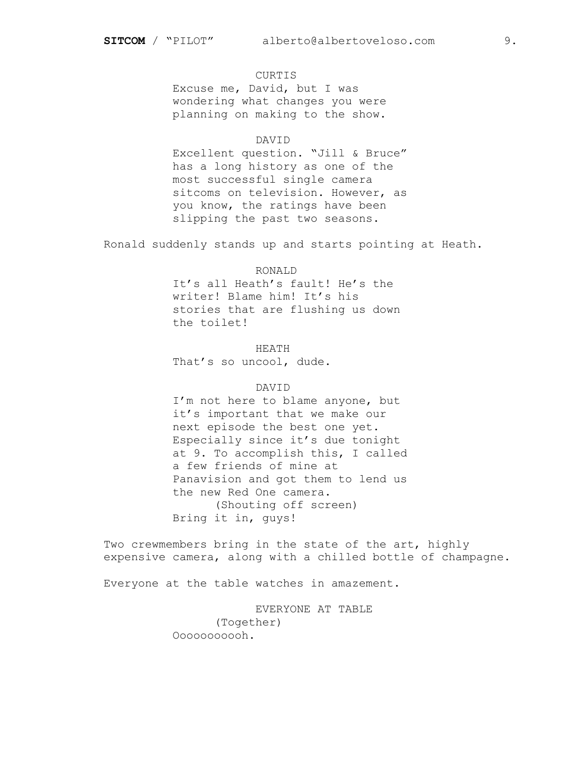CURTIS Excuse me, David, but I was wondering what changes you were planning on making to the show.

#### DAVID

Excellent question. "Jill & Bruce" has a long history as one of the most successful single camera sitcoms on television. However, as you know, the ratings have been slipping the past two seasons.

Ronald suddenly stands up and starts pointing at Heath.

#### RONALD

It's all Heath's fault! He's the writer! Blame him! It's his stories that are flushing us down the toilet!

 HEATH That's so uncool, dude.

#### DAVID

I'm not here to blame anyone, but it's important that we make our next episode the best one yet. Especially since it's due tonight at 9. To accomplish this, I called a few friends of mine at Panavision and got them to lend us the new Red One camera. (Shouting off screen) Bring it in, guys!

Two crewmembers bring in the state of the art, highly expensive camera, along with a chilled bottle of champagne.

Everyone at the table watches in amazement.

 EVERYONE AT TABLE (Together) Ooooooooooh.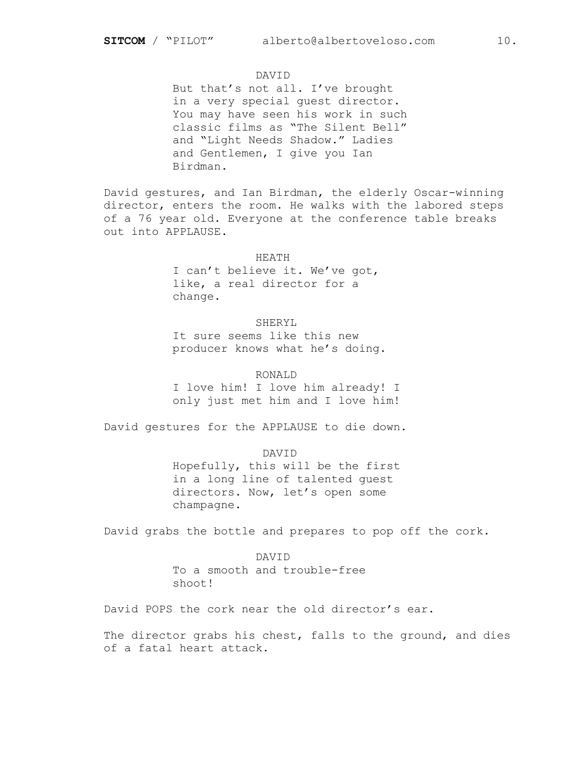## DAVID

But that's not all. I've brought in a very special guest director. You may have seen his work in such classic films as "The Silent Bell" and "Light Needs Shadow." Ladies and Gentlemen, I give you Ian Birdman.

David gestures, and Ian Birdman, the elderly Oscar-winning director, enters the room. He walks with the labored steps of a 76 year old. Everyone at the conference table breaks out into APPLAUSE.

> HEATH I can't believe it. We've got, like, a real director for a change.

 SHERYL It sure seems like this new producer knows what he's doing.

 RONALD I love him! I love him already! I only just met him and I love him!

David gestures for the APPLAUSE to die down.

 DAVID Hopefully, this will be the first in a long line of talented guest directors. Now, let's open some champagne.

David grabs the bottle and prepares to pop off the cork.

 DAVID To a smooth and trouble-free shoot!

David POPS the cork near the old director's ear.

The director grabs his chest, falls to the ground, and dies of a fatal heart attack.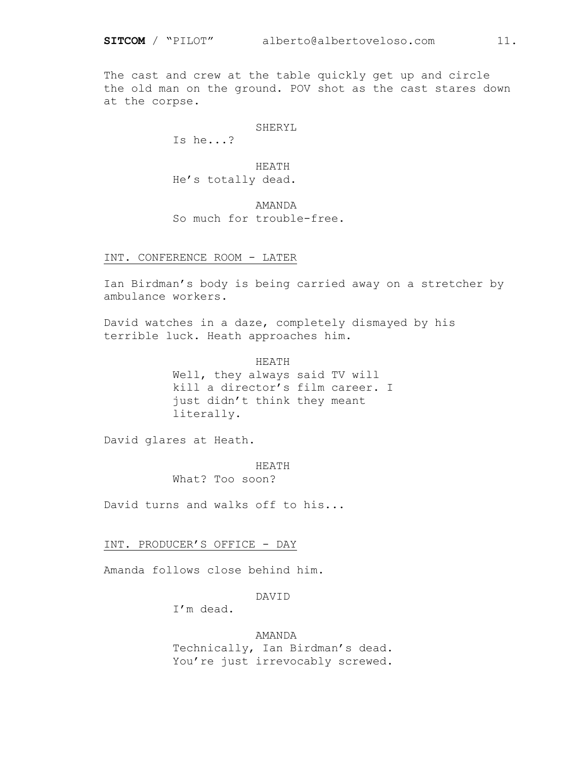The cast and crew at the table quickly get up and circle the old man on the ground. POV shot as the cast stares down at the corpse.

SHERYL

Is he...?

 HEATH He's totally dead.

 AMANDA So much for trouble-free.

## INT. CONFERENCE ROOM - LATER

Ian Birdman's body is being carried away on a stretcher by ambulance workers.

David watches in a daze, completely dismayed by his terrible luck. Heath approaches him.

HEATH

Well, they always said TV will kill a director's film career. I just didn't think they meant literally.

David glares at Heath.

 HEATH What? Too soon?

David turns and walks off to his...

INT. PRODUCER'S OFFICE - DAY

Amanda follows close behind him.

DAVID

I'm dead.

#### AMANDA

Technically, Ian Birdman's dead. You're just irrevocably screwed.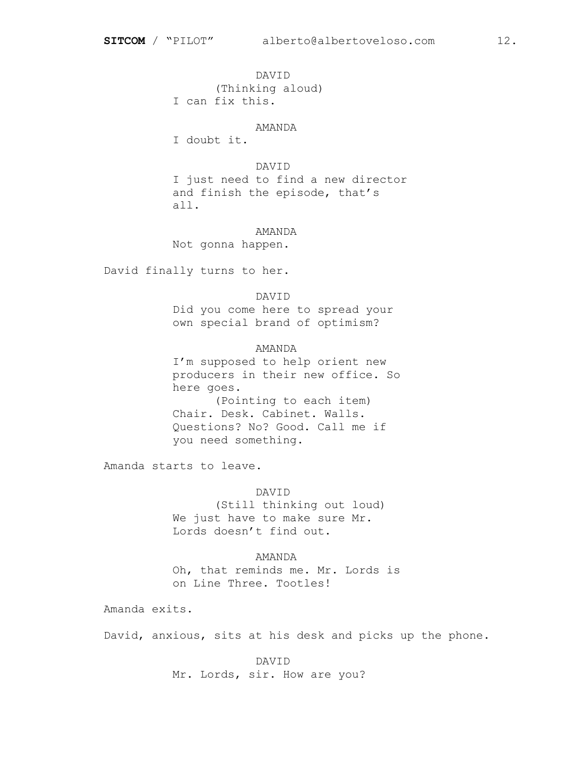DAVID (Thinking aloud) I can fix this.

AMANDA

I doubt it.

## DAVID

I just need to find a new director and finish the episode, that's all.

AMANDA

Not gonna happen.

David finally turns to her.

#### DAVID

Did you come here to spread your own special brand of optimism?

#### AMANDA

I'm supposed to help orient new producers in their new office. So here goes. (Pointing to each item) Chair. Desk. Cabinet. Walls. Questions? No? Good. Call me if you need something.

Amanda starts to leave.

 DAVID (Still thinking out loud) We just have to make sure Mr. Lords doesn't find out.

## AMANDA

Oh, that reminds me. Mr. Lords is on Line Three. Tootles!

Amanda exits.

David, anxious, sits at his desk and picks up the phone.

 DAVID Mr. Lords, sir. How are you?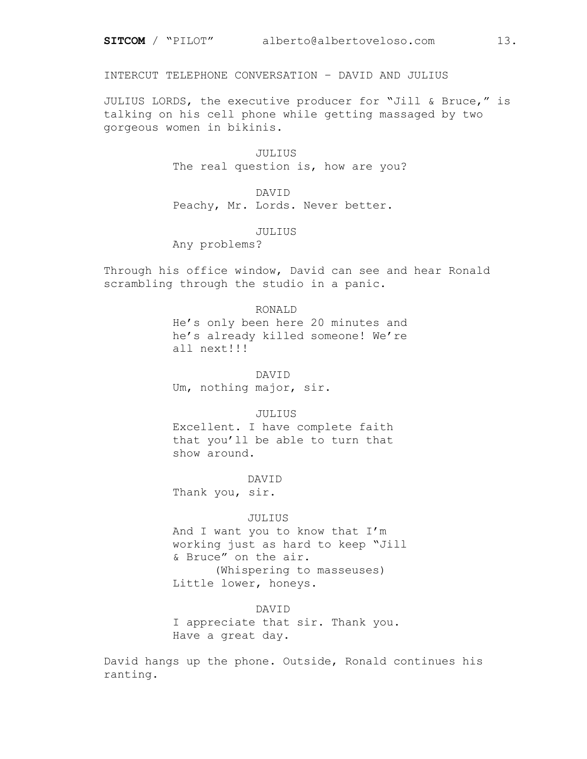INTERCUT TELEPHONE CONVERSATION – DAVID AND JULIUS

JULIUS LORDS, the executive producer for "Jill & Bruce," is talking on his cell phone while getting massaged by two gorgeous women in bikinis.

> JULIUS The real question is, how are you?

 DAVID Peachy, Mr. Lords. Never better.

JULIUS

Any problems?

Through his office window, David can see and hear Ronald scrambling through the studio in a panic.

## RONALD

He's only been here 20 minutes and he's already killed someone! We're all next!!!

 DAVID Um, nothing major, sir.

#### JULIUS

Excellent. I have complete faith that you'll be able to turn that show around.

DAVID

Thank you, sir.

#### JULIUS

And I want you to know that I'm working just as hard to keep "Jill & Bruce" on the air. (Whispering to masseuses) Little lower, honeys.

#### DAVID

I appreciate that sir. Thank you. Have a great day.

David hangs up the phone. Outside, Ronald continues his ranting.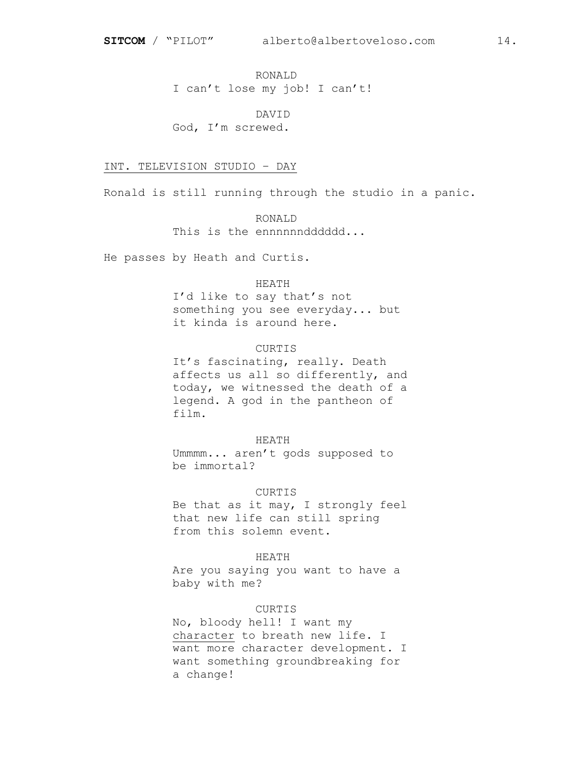RONALD I can't lose my job! I can't!

 DAVID God, I'm screwed.

#### INT. TELEVISION STUDIO – DAY

Ronald is still running through the studio in a panic.

 RONALD This is the ennnnnndddddd...

He passes by Heath and Curtis.

#### HEATH

I'd like to say that's not something you see everyday... but it kinda is around here.

## CURTIS

It's fascinating, really. Death affects us all so differently, and today, we witnessed the death of a legend. A god in the pantheon of film.

#### HEATH

Ummmm... aren't gods supposed to be immortal?

#### CURTIS

Be that as it may, I strongly feel that new life can still spring from this solemn event.

#### HEATH

Are you saying you want to have a baby with me?

#### CURTIS

No, bloody hell! I want my character to breath new life. I want more character development. I want something groundbreaking for a change!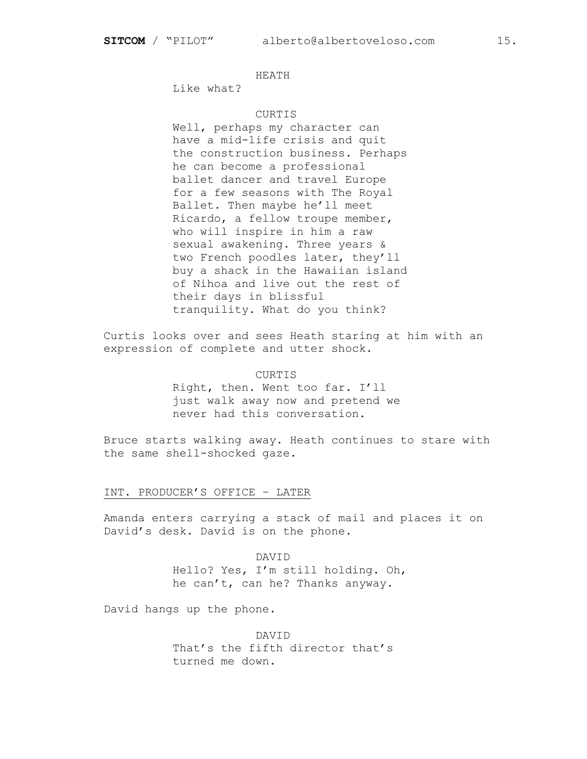## HEATH

Like what?

#### CURTIS

Well, perhaps my character can have a mid-life crisis and quit the construction business. Perhaps he can become a professional ballet dancer and travel Europe for a few seasons with The Royal Ballet. Then maybe he'll meet Ricardo, a fellow troupe member, who will inspire in him a raw sexual awakening. Three years & two French poodles later, they'll buy a shack in the Hawaiian island of Nihoa and live out the rest of their days in blissful tranquility. What do you think?

Curtis looks over and sees Heath staring at him with an expression of complete and utter shock.

#### CURTIS

Right, then. Went too far. I'll just walk away now and pretend we never had this conversation.

Bruce starts walking away. Heath continues to stare with the same shell-shocked gaze.

#### INT. PRODUCER'S OFFICE – LATER

Amanda enters carrying a stack of mail and places it on David's desk. David is on the phone.

> DAVID Hello? Yes, I'm still holding. Oh, he can't, can he? Thanks anyway.

David hangs up the phone.

 DAVID That's the fifth director that's turned me down.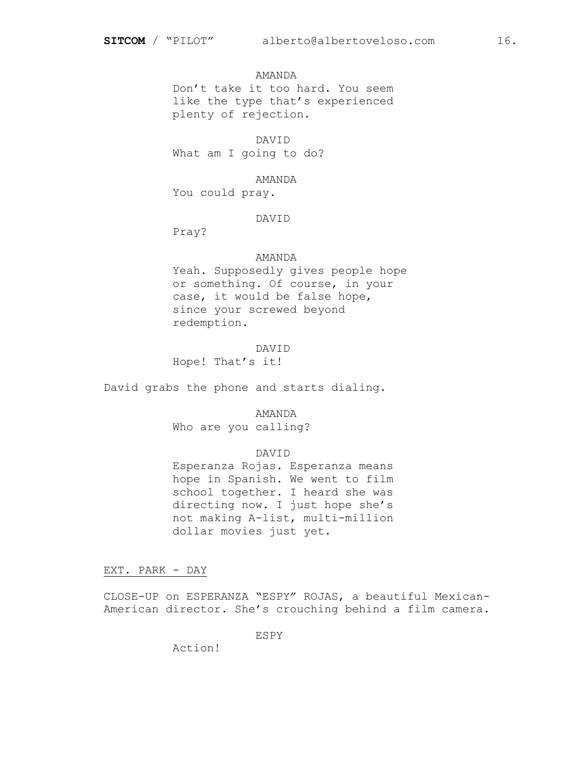AMANDA

Don't take it too hard. You seem like the type that's experienced plenty of rejection.

 DAVID What am I going to do?

AMANDA

You could pray.

## DAVID

Pray?

#### AMANDA

Yeah. Supposedly gives people hope or something. Of course, in your case, it would be false hope, since your screwed beyond redemption.

 DAVID Hope! That's it!

David grabs the phone and starts dialing.

 AMANDA Who are you calling?

#### DAVID

Esperanza Rojas. Esperanza means hope in Spanish. We went to film school together. I heard she was directing now. I just hope she's not making A-list, multi-million dollar movies just yet.

EXT. PARK - DAY

CLOSE-UP on ESPERANZA "ESPY" ROJAS, a beautiful Mexican-American director. She's crouching behind a film camera.

ESPY

Action!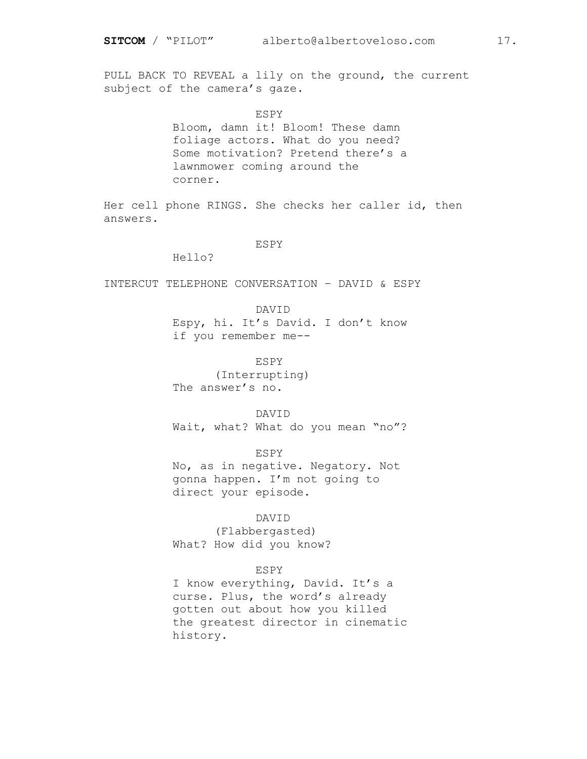PULL BACK TO REVEAL a lily on the ground, the current subject of the camera's gaze.

> ESPY Bloom, damn it! Bloom! These damn foliage actors. What do you need? Some motivation? Pretend there's a lawnmower coming around the corner.

Her cell phone RINGS. She checks her caller id, then answers.

#### ESPY

Hello?

INTERCUT TELEPHONE CONVERSATION – DAVID & ESPY

#### DAVID

Espy, hi. It's David. I don't know if you remember me--

ESPY

 (Interrupting) The answer's no.

 DAVID Wait, what? What do you mean "no"?

ESPY

No, as in negative. Negatory. Not gonna happen. I'm not going to direct your episode.

#### DAVID

 (Flabbergasted) What? How did you know?

#### ESPY

I know everything, David. It's a curse. Plus, the word's already gotten out about how you killed the greatest director in cinematic history.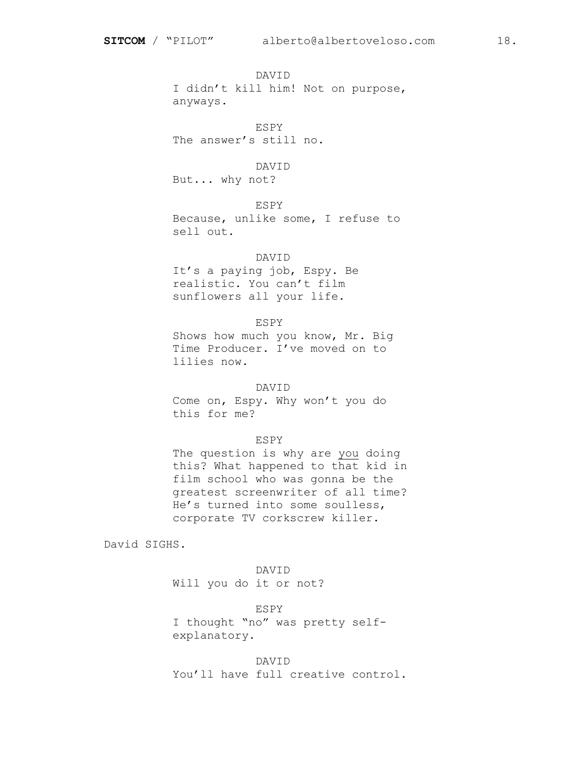DAVID I didn't kill him! Not on purpose, anyways.

 ESPY The answer's still no.

DAVID

But... why not?

ESPY

Because, unlike some, I refuse to sell out.

## DAVID

It's a paying job, Espy. Be realistic. You can't film sunflowers all your life.

ESPY

Shows how much you know, Mr. Big Time Producer. I've moved on to lilies now.

#### DAVID

Come on, Espy. Why won't you do this for me?

#### ESPY

The question is why are you doing this? What happened to that kid in film school who was gonna be the greatest screenwriter of all time? He's turned into some soulless, corporate TV corkscrew killer.

David SIGHS.

 DAVID Will you do it or not?

#### ESPY

I thought "no" was pretty selfexplanatory.

 DAVID You'll have full creative control.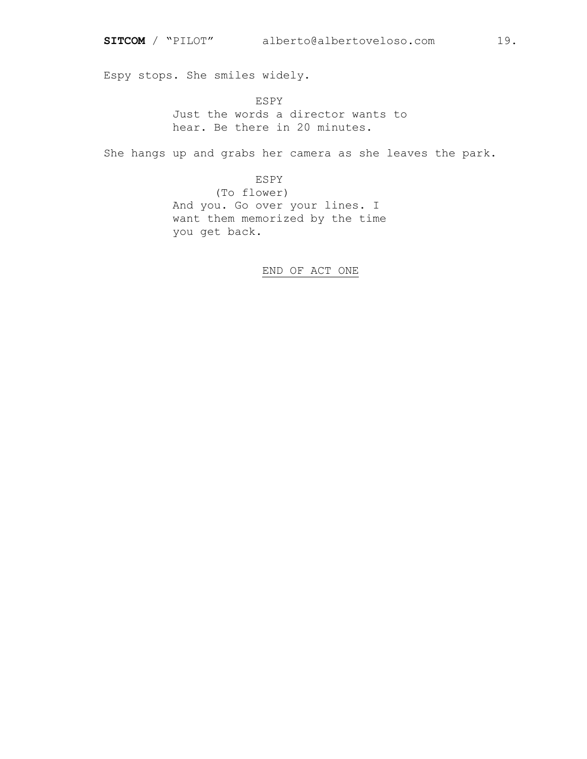Espy stops. She smiles widely.

 ESPY Just the words a director wants to hear. Be there in 20 minutes.

She hangs up and grabs her camera as she leaves the park.

 ESPY (To flower) And you. Go over your lines. I want them memorized by the time you get back.

END OF ACT ONE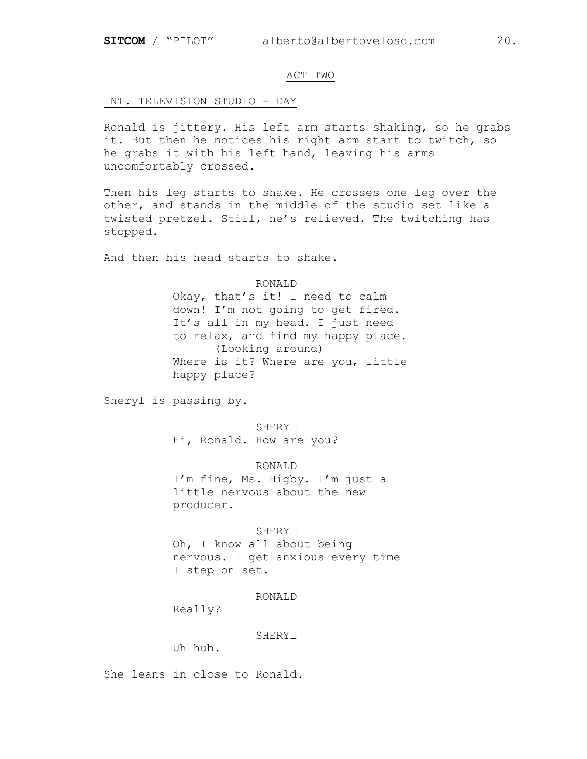## ACT TWO

## INT. TELEVISION STUDIO - DAY

Ronald is jittery. His left arm starts shaking, so he grabs it. But then he notices his right arm start to twitch, so he grabs it with his left hand, leaving his arms uncomfortably crossed.

Then his leg starts to shake. He crosses one leg over the other, and stands in the middle of the studio set like a twisted pretzel. Still, he's relieved. The twitching has stopped.

And then his head starts to shake.

RONALD

Okay, that's it! I need to calm down! I'm not going to get fired. It's all in my head. I just need to relax, and find my happy place. (Looking around) Where is it? Where are you, little happy place?

Sheryl is passing by.

 SHERYL Hi, Ronald. How are you?

 RONALD I'm fine, Ms. Higby. I'm just a little nervous about the new producer.

 SHERYL Oh, I know all about being nervous. I get anxious every time I step on set.

RONALD

Really?

SHERYL

Uh huh.

She leans in close to Ronald.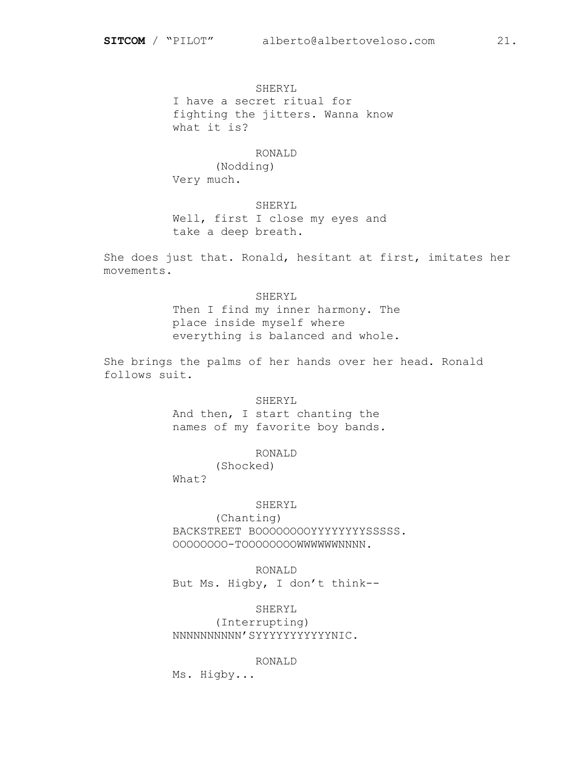SHERYL I have a secret ritual for fighting the jitters. Wanna know what it is?

## RONALD

 (Nodding) Very much.

## SHERYL

Well, first I close my eyes and take a deep breath.

She does just that. Ronald, hesitant at first, imitates her movements.

#### SHERYL

Then I find my inner harmony. The place inside myself where everything is balanced and whole.

She brings the palms of her hands over her head. Ronald follows suit.

#### SHERYL

And then, I start chanting the names of my favorite boy bands.

## RONALD

(Shocked)

What?

#### SHERYL

 (Chanting) BACKSTREET BOOOOOOOOYYYYYYYYSSSSS. OOOOOOOO-TOOOOOOOOWWWWWWNNNN.

## RONALD

But Ms. Higby, I don't think--

#### SHERYL

 (Interrupting) NNNNNNNNNN'SYYYYYYYYYYYNIC.

RONALD

Ms. Higby...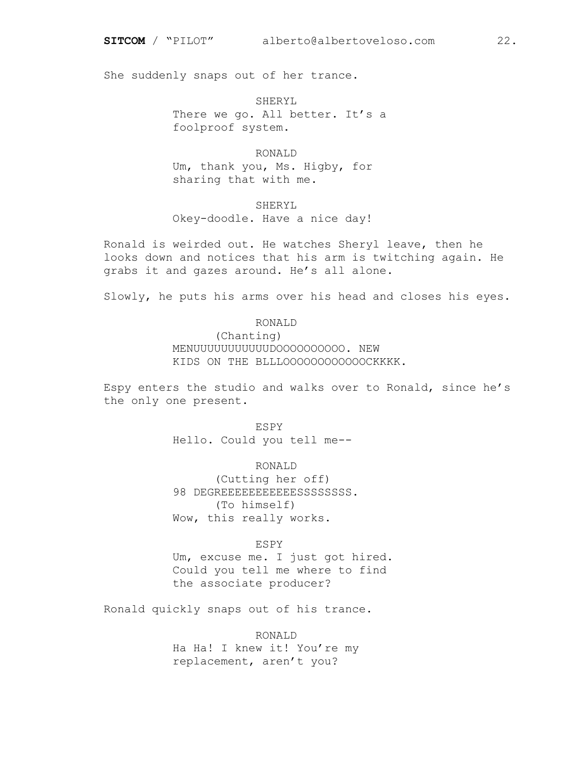She suddenly snaps out of her trance.

 SHERYL There we go. All better. It's a foolproof system.

 RONALD Um, thank you, Ms. Higby, for sharing that with me.

## SHERYL

Okey-doodle. Have a nice day!

Ronald is weirded out. He watches Sheryl leave, then he looks down and notices that his arm is twitching again. He grabs it and gazes around. He's all alone.

Slowly, he puts his arms over his head and closes his eyes.

 RONALD (Chanting) MENUUUUUUUUUUUDOOOOOOOOOO. NEW KIDS ON THE BLLLOOOOOOOOOOOOCKKKK.

Espy enters the studio and walks over to Ronald, since he's the only one present.

> ESPY Hello. Could you tell me--

 RONALD (Cutting her off) 98 DEGREEEEEEEEEESSSSSSSSS. (To himself) Wow, this really works.

ESPY

Um, excuse me. I just got hired. Could you tell me where to find the associate producer?

Ronald quickly snaps out of his trance.

 RONALD Ha Ha! I knew it! You're my replacement, aren't you?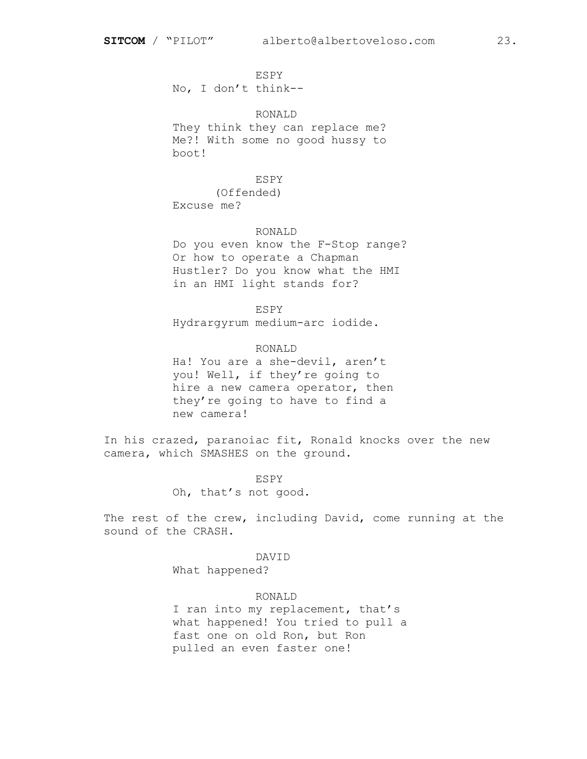ESPY No, I don't think--

 RONALD They think they can replace me? Me?! With some no good hussy to boot!

 ESPY (Offended) Excuse me?

### RONALD

Do you even know the F-Stop range? Or how to operate a Chapman Hustler? Do you know what the HMI in an HMI light stands for?

ESPY

Hydrargyrum medium-arc iodide.

 RONALD Ha! You are a she-devil, aren't you! Well, if they're going to hire a new camera operator, then they're going to have to find a new camera!

In his crazed, paranoiac fit, Ronald knocks over the new camera, which SMASHES on the ground.

> ESPY Oh, that's not good.

The rest of the crew, including David, come running at the sound of the CRASH.

DAVID

What happened?

RONALD

I ran into my replacement, that's what happened! You tried to pull a fast one on old Ron, but Ron pulled an even faster one!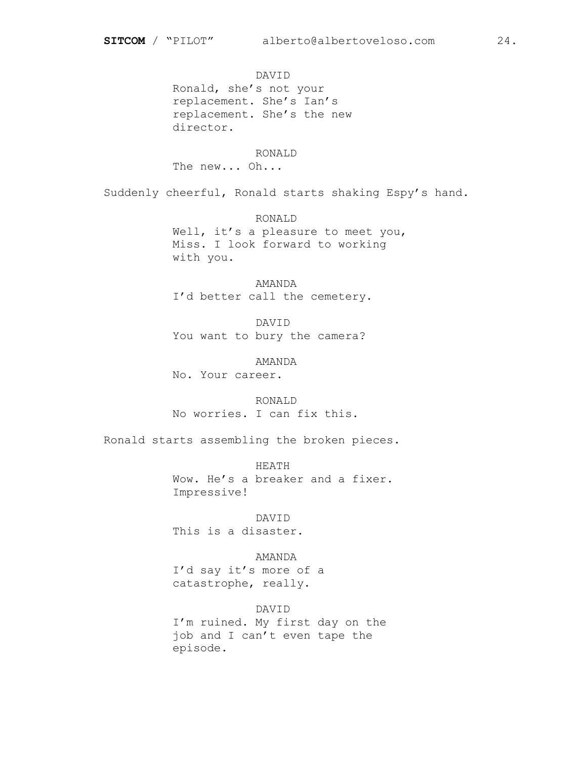DAVID Ronald, she's not your replacement. She's Ian's replacement. She's the new director.

#### RONALD

The new... Oh...

Suddenly cheerful, Ronald starts shaking Espy's hand.

 RONALD Well, it's a pleasure to meet you, Miss. I look forward to working with you.

 AMANDA I'd better call the cemetery.

 DAVID You want to bury the camera?

 AMANDA No. Your career.

 RONALD No worries. I can fix this.

Ronald starts assembling the broken pieces.

 HEATH Wow. He's a breaker and a fixer. Impressive!

 DAVID This is a disaster.

 AMANDA I'd say it's more of a catastrophe, really.

 DAVID I'm ruined. My first day on the job and I can't even tape the episode.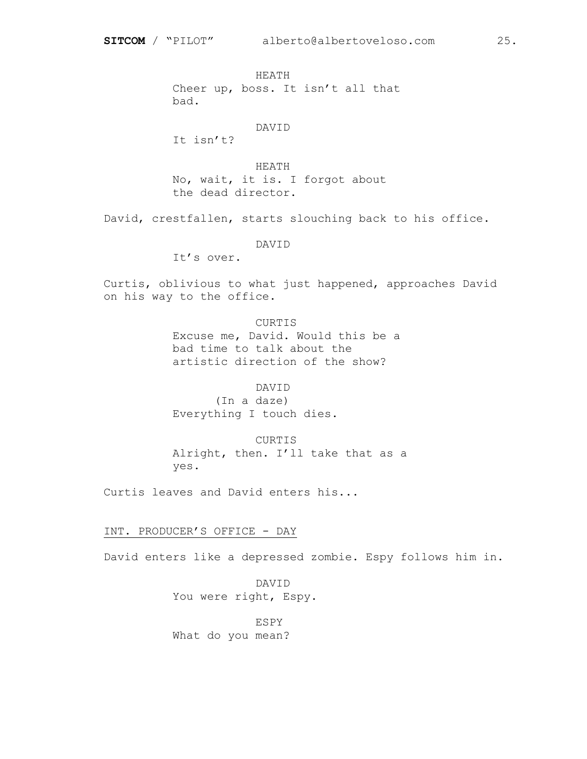HEATH Cheer up, boss. It isn't all that bad.

## DAVID

It isn't?

 HEATH No, wait, it is. I forgot about the dead director.

David, crestfallen, starts slouching back to his office.

DAVID

It's over.

Curtis, oblivious to what just happened, approaches David on his way to the office.

> CURTIS Excuse me, David. Would this be a bad time to talk about the artistic direction of the show?

## DAVID

 (In a daze) Everything I touch dies.

 CURTIS Alright, then. I'll take that as a yes.

Curtis leaves and David enters his...

INT. PRODUCER'S OFFICE - DAY

David enters like a depressed zombie. Espy follows him in.

 DAVID You were right, Espy.

 ESPY What do you mean?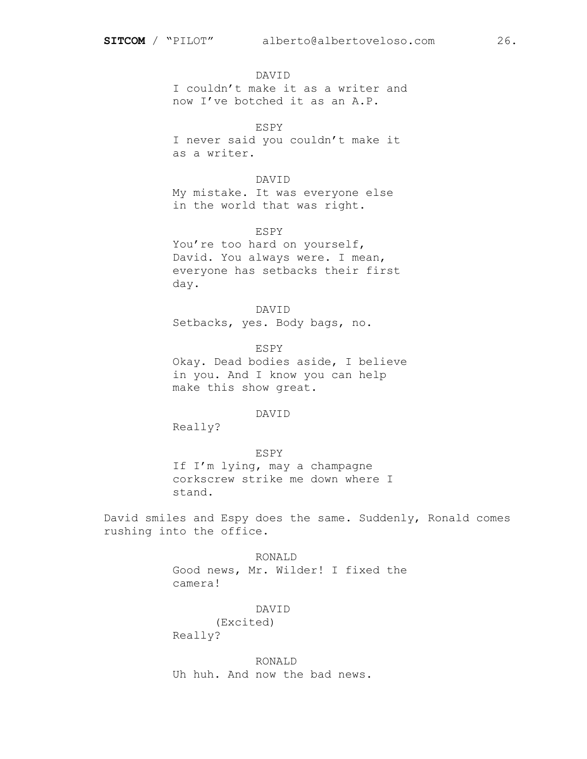DAVID I couldn't make it as a writer and now I've botched it as an A.P.

 ESPY I never said you couldn't make it as a writer.

## DAVID

My mistake. It was everyone else in the world that was right.

ESPY

You're too hard on yourself, David. You always were. I mean, everyone has setbacks their first day.

DAVID

Setbacks, yes. Body bags, no.

 ESPY Okay. Dead bodies aside, I believe in you. And I know you can help make this show great.

DAVID

Really?

ESPY

If I'm lying, may a champagne corkscrew strike me down where I stand.

David smiles and Espy does the same. Suddenly, Ronald comes rushing into the office.

> RONALD Good news, Mr. Wilder! I fixed the camera!

> > DAVID

 (Excited) Really?

 RONALD Uh huh. And now the bad news.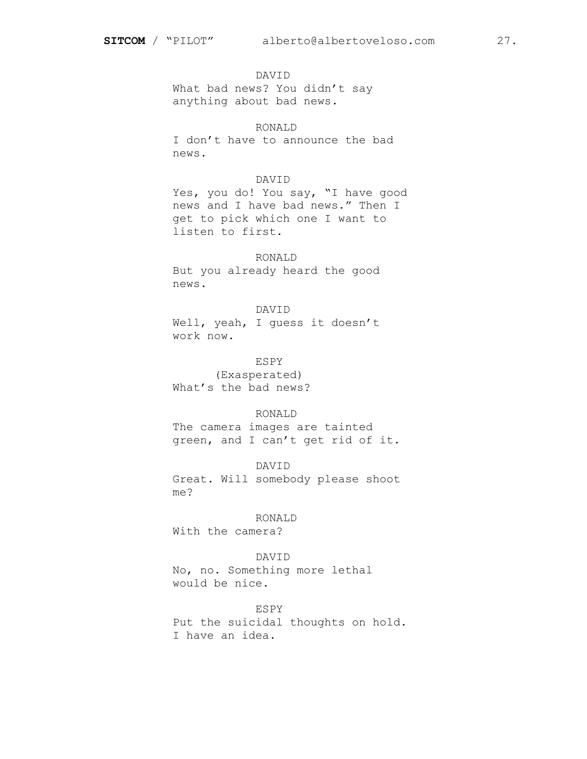DAVID What bad news? You didn't say anything about bad news.

## RONALD

I don't have to announce the bad news.

## DAVID

Yes, you do! You say, "I have good news and I have bad news." Then I get to pick which one I want to listen to first.

#### RONALD

But you already heard the good news.

#### DAVID

Well, yeah, I guess it doesn't work now.

ESPY

 (Exasperated) What's the bad news?

#### RONALD

The camera images are tainted green, and I can't get rid of it.

#### DAVID

Great. Will somebody please shoot me?

## RONALD

With the camera?

### DAVID

No, no. Something more lethal would be nice.

## ESPY

Put the suicidal thoughts on hold. I have an idea.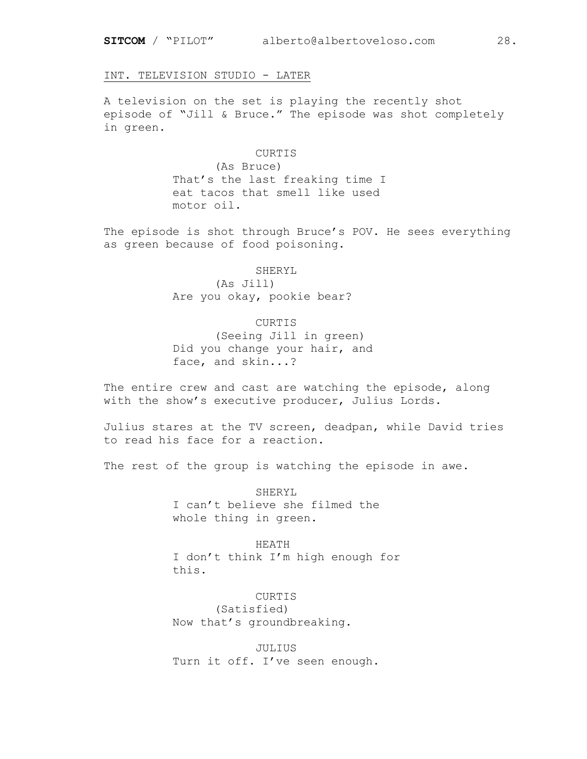## INT. TELEVISION STUDIO - LATER

A television on the set is playing the recently shot episode of "Jill & Bruce." The episode was shot completely in green.

## CURTIS

 (As Bruce) That's the last freaking time I eat tacos that smell like used motor oil.

The episode is shot through Bruce's POV. He sees everything as green because of food poisoning.

> SHERYL (As Jill) Are you okay, pookie bear?

CURTIS (Seeing Jill in green) Did you change your hair, and face, and skin...?

The entire crew and cast are watching the episode, along with the show's executive producer, Julius Lords.

Julius stares at the TV screen, deadpan, while David tries to read his face for a reaction.

The rest of the group is watching the episode in awe.

 SHERYL I can't believe she filmed the whole thing in green.

 HEATH I don't think I'm high enough for this.

 CURTIS (Satisfied) Now that's groundbreaking.

 JULIUS Turn it off. I've seen enough.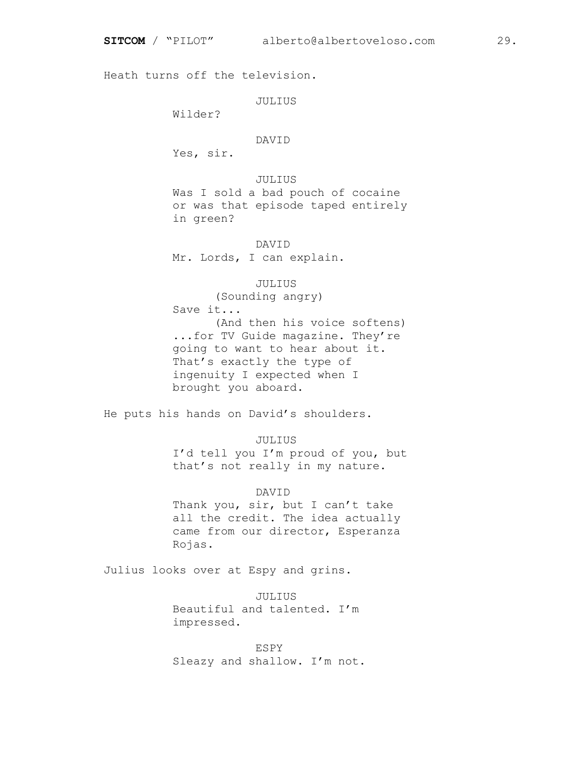Heath turns off the television. JULIUS Wilder? DAVID Yes, sir. JULIUS Was I sold a bad pouch of cocaine or was that episode taped entirely in green? DAVID Mr. Lords, I can explain. JULIUS (Sounding angry) Save it... (And then his voice softens) ...for TV Guide magazine. They're going to want to hear about it. That's exactly the type of ingenuity I expected when I brought you aboard. He puts his hands on David's shoulders. JULIUS I'd tell you I'm proud of you, but that's not really in my nature. DAVID Thank you, sir, but I can't take all the credit. The idea actually came from our director, Esperanza Rojas. Julius looks over at Espy and grins. JULIUS Beautiful and talented. I'm impressed.

 ESPY Sleazy and shallow. I'm not.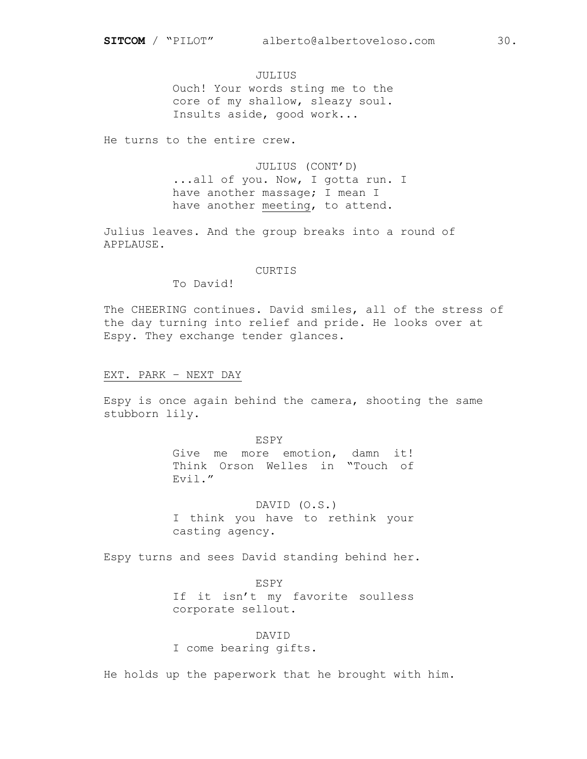JULIUS Ouch! Your words sting me to the core of my shallow, sleazy soul. Insults aside, good work...

He turns to the entire crew.

 JULIUS (CONT'D) ...all of you. Now, I gotta run. I have another massage; I mean I have another meeting, to attend.

Julius leaves. And the group breaks into a round of APPLAUSE.

#### CURTIS

To David!

The CHEERING continues. David smiles, all of the stress of the day turning into relief and pride. He looks over at Espy. They exchange tender glances.

EXT. PARK – NEXT DAY

Espy is once again behind the camera, shooting the same stubborn lily.

> ESPY Give me more emotion, damn it! Think Orson Welles in "Touch of Evil."

> DAVID (O.S.) I think you have to rethink your casting agency.

Espy turns and sees David standing behind her.

ESPY

If it isn't my favorite soulless corporate sellout.

DAVID

I come bearing gifts.

He holds up the paperwork that he brought with him.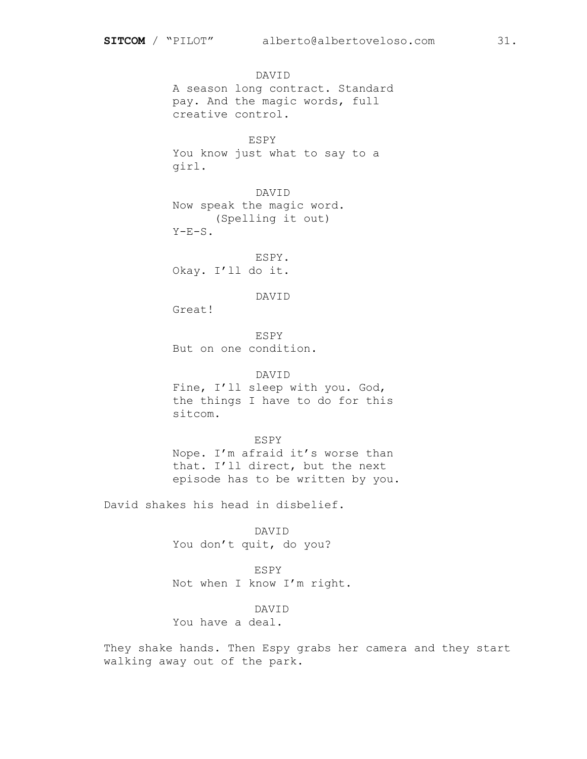DAVID A season long contract. Standard pay. And the magic words, full creative control.

 ESPY You know just what to say to a girl.

 DAVID Now speak the magic word. (Spelling it out)  $Y-E-S$ .

 ESPY. Okay. I'll do it.

DAVID

Great!

 ESPY But on one condition.

 DAVID Fine, I'll sleep with you. God, the things I have to do for this sitcom.

 ESPY Nope. I'm afraid it's worse than that. I'll direct, but the next episode has to be written by you.

David shakes his head in disbelief.

 DAVID You don't quit, do you?

 ESPY Not when I know I'm right.

DAVID

You have a deal.

They shake hands. Then Espy grabs her camera and they start walking away out of the park.